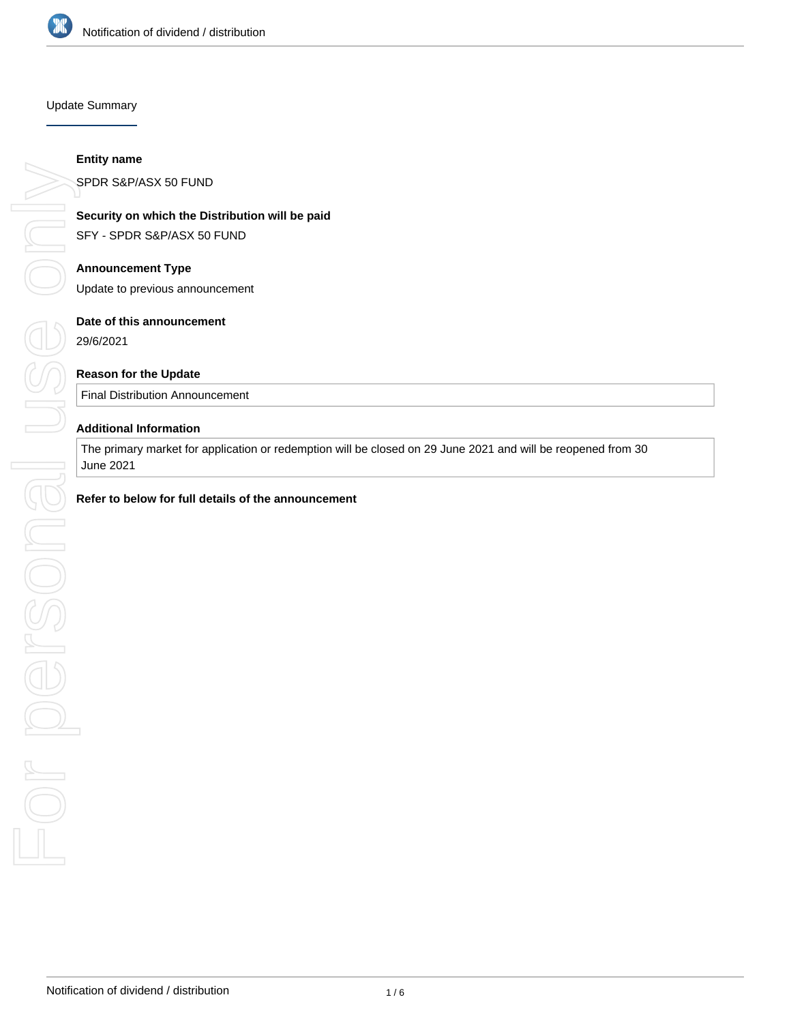

# Update Summary

# **Referits on which the Distribution will be paid**<br>
SFY - SPDR S&P/ASX 50 FUND<br> **Announcement Type**<br>
Update to previous announcement<br>
Date of this announcement<br>
29/6/2021<br> **Reason for the Update**<br> **Final Distribution Announ**

# **Entity name**

SPDR S&P/ASX 50 FUND

# **Security on which the Distribution will be paid**

SFY - SPDR S&P/ASX 50 FUND

# **Announcement Type**

Update to previous announcement

# **Date of this announcement**

29/6/2021

# **Reason for the Update**

Final Distribution Announcement

# **Additional Information**

The primary market for application or redemption will be closed on 29 June 2021 and will be reopened from 30 June 2021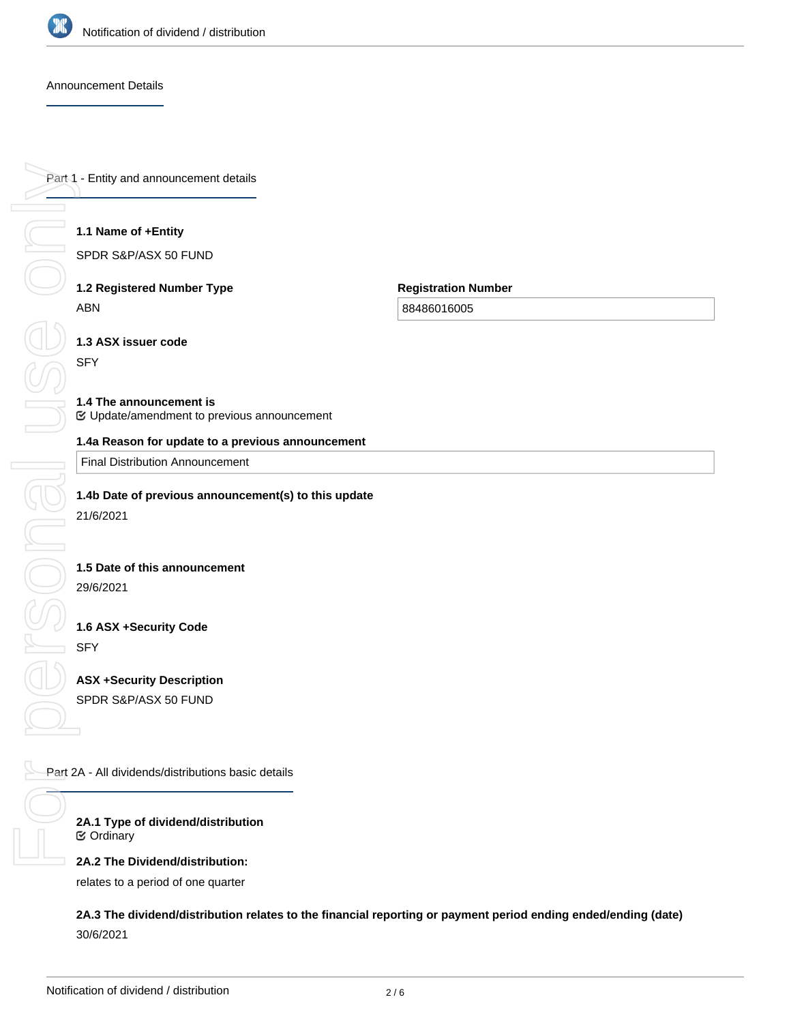

## Announcement Details

Part 1 - Entity and announcement details

# **1.1 Name of +Entity**

SPDR S&P/ASX 50 FUND

# **1.2 Registered Number Type** ABN

**Registration Number**

88486016005

**1.3 ASX issuer code**

SFY

# **1.4 The announcement is**

Update/amendment to previous announcement

Final Distribution Announcement

# **1.4b Date of previous announcement(s) to this update**

21/6/2021

# **1.5 Date of this announcement**

29/6/2021

# **1.6 ASX +Security Code** SFY

**ASX +Security Description** SPDR S&P/ASX 50 FUND

Part 2A - All dividends/distributions basic details

**2A.1 Type of dividend/distribution** Ordinary

# **2A.2 The Dividend/distribution:**

relates to a period of one quarter

**2A.3 The dividend/distribution relates to the financial reporting or payment period ending ended/ending (date)** 30/6/2021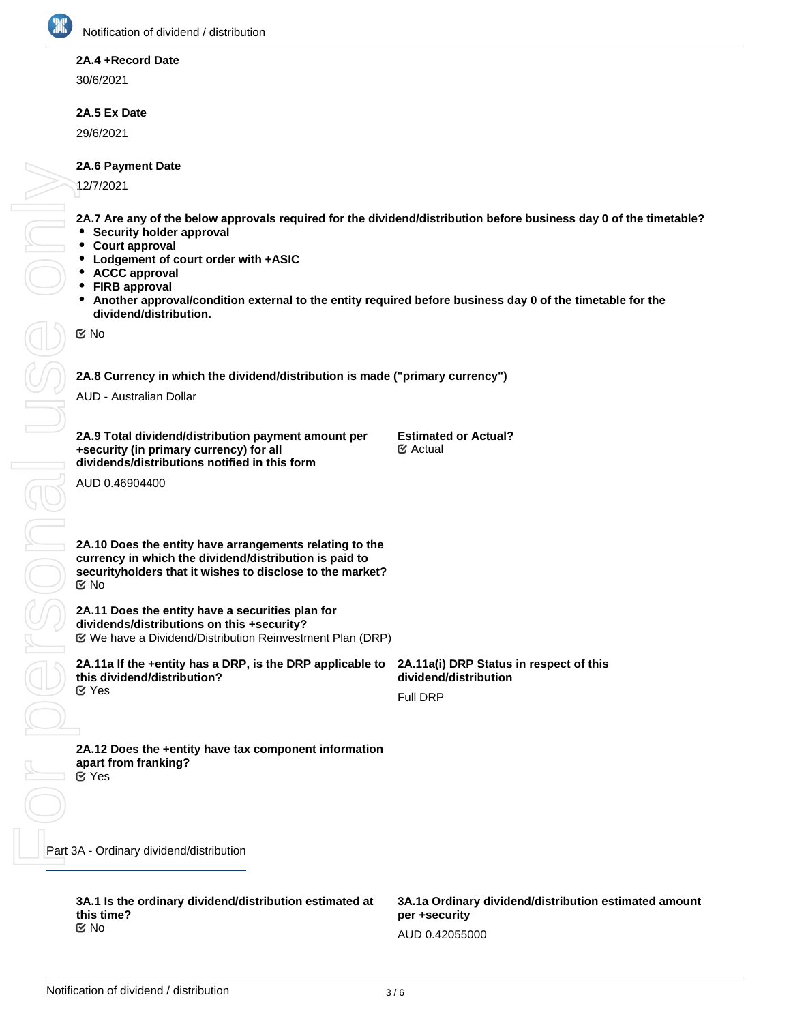

# **2A.4 +Record Date**

30/6/2021

# **2A.5 Ex Date**

29/6/2021

# **2A.6 Payment Date**

12/7/2021

**2A.7 Are any of the below approvals required for the dividend/distribution before business day 0 of the timetable?**

- **•** Security holder approval
- $\bullet$ **Court approval**
- **Lodgement of court order with +ASIC**
- **ACCC approval**  $\bullet$
- **FIRB approval**
- $\bullet$ **Another approval/condition external to the entity required before business day 0 of the timetable for the dividend/distribution.**

No

 $\begin{matrix} 0 \ \end{matrix}$ 

 $\frac{1}{\sqrt{2}}$ 

**2A.8 Currency in which the dividend/distribution is made ("primary currency")**

AUD - Australian Dollar

**2A.9 Total dividend/distribution payment amount per +security (in primary currency) for all dividends/distributions notified in this form**

**Estimated or Actual?** Actual

AUD 0.46904400

**2A.10 Does the entity have arrangements relating to the currency in which the dividend/distribution is paid to securityholders that it wishes to disclose to the market?** No

**2A.11 Does the entity have a securities plan for dividends/distributions on this +security?** We have a Dividend/Distribution Reinvestment Plan (DRP)

**2A.11a If the +entity has a DRP, is the DRP applicable to this dividend/distribution?** Yes

**2A.11a(i) DRP Status in respect of this dividend/distribution**

Full DRP

**2A.12 Does the +entity have tax component information apart from franking?** Yes

Part 3A - Ordinary dividend/distribution For personal use only

> **3A.1 Is the ordinary dividend/distribution estimated at this time?** No

**3A.1a(i) Date that actual ordinary amount will be Estimated or Actual?**

**3A.1a Ordinary dividend/distribution estimated amount per +security** AUD 0.42055000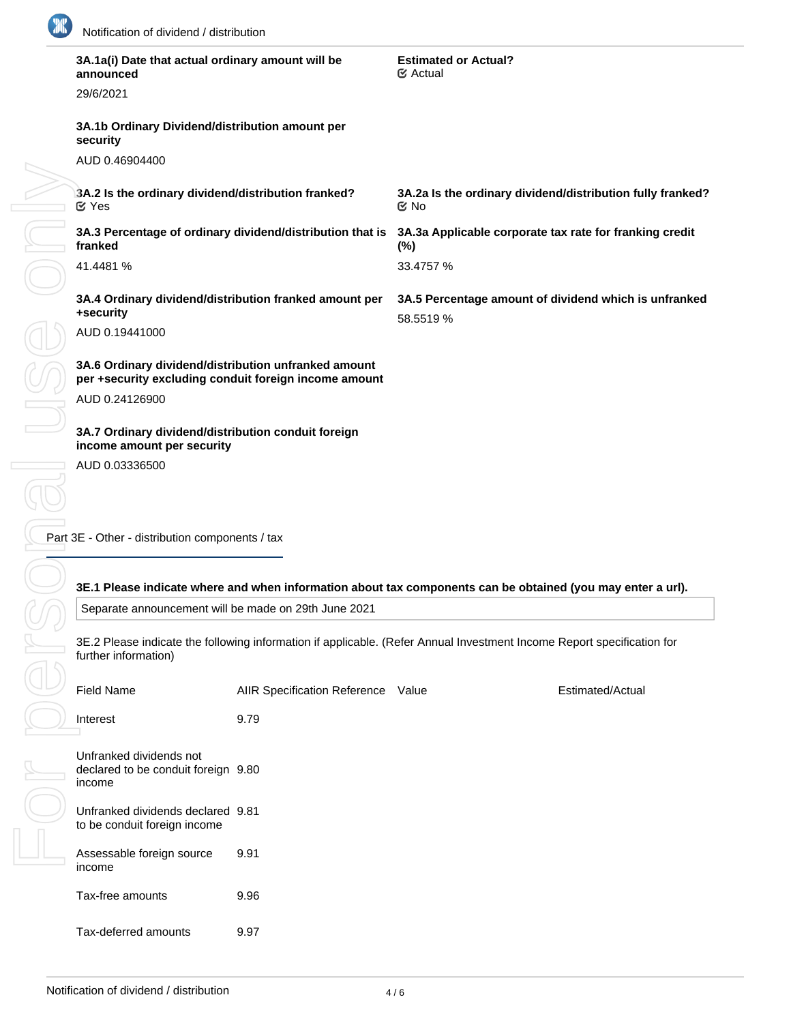

|  | 3A.1a(i) Date that actual ordinary amount will be<br>announced                                                                                                                                         |                                    | <b>Estimated or Actual?</b><br>$\mathfrak{S}$ Actual                                                        |                  |  |  |  |
|--|--------------------------------------------------------------------------------------------------------------------------------------------------------------------------------------------------------|------------------------------------|-------------------------------------------------------------------------------------------------------------|------------------|--|--|--|
|  | 29/6/2021                                                                                                                                                                                              |                                    |                                                                                                             |                  |  |  |  |
|  | 3A.1b Ordinary Dividend/distribution amount per<br>security                                                                                                                                            |                                    |                                                                                                             |                  |  |  |  |
|  | AUD 0.46904400                                                                                                                                                                                         |                                    |                                                                                                             |                  |  |  |  |
|  | 3A.2 Is the ordinary dividend/distribution franked?<br><b>M</b> Yes                                                                                                                                    |                                    | 3A.2a Is the ordinary dividend/distribution fully franked?<br>$\mathfrak{C}$ No                             |                  |  |  |  |
|  | 3A.3 Percentage of ordinary dividend/distribution that is<br>franked                                                                                                                                   |                                    | 3A.3a Applicable corporate tax rate for franking credit<br>$(\%)$                                           |                  |  |  |  |
|  | 41.4481 %                                                                                                                                                                                              |                                    | 33.4757 %                                                                                                   |                  |  |  |  |
|  | 3A.4 Ordinary dividend/distribution franked amount per<br>+security                                                                                                                                    |                                    | 3A.5 Percentage amount of dividend which is unfranked<br>58.5519 %                                          |                  |  |  |  |
|  | AUD 0.19441000                                                                                                                                                                                         |                                    |                                                                                                             |                  |  |  |  |
|  | 3A.6 Ordinary dividend/distribution unfranked amount<br>per +security excluding conduit foreign income amount                                                                                          |                                    |                                                                                                             |                  |  |  |  |
|  | AUD 0.24126900                                                                                                                                                                                         |                                    |                                                                                                             |                  |  |  |  |
|  | 3A.7 Ordinary dividend/distribution conduit foreign<br>income amount per security                                                                                                                      |                                    |                                                                                                             |                  |  |  |  |
|  | AUD 0.03336500                                                                                                                                                                                         |                                    |                                                                                                             |                  |  |  |  |
|  | Part 3E - Other - distribution components / tax                                                                                                                                                        |                                    |                                                                                                             |                  |  |  |  |
|  |                                                                                                                                                                                                        |                                    | 3E.1 Please indicate where and when information about tax components can be obtained (you may enter a url). |                  |  |  |  |
|  | Separate announcement will be made on 29th June 2021<br>3E.2 Please indicate the following information if applicable. (Refer Annual Investment Income Report specification for<br>further information) |                                    |                                                                                                             |                  |  |  |  |
|  |                                                                                                                                                                                                        |                                    |                                                                                                             |                  |  |  |  |
|  | <b>Field Name</b>                                                                                                                                                                                      | AIIR Specification Reference Value |                                                                                                             | Estimated/Actual |  |  |  |
|  | Interest                                                                                                                                                                                               | 9.79                               |                                                                                                             |                  |  |  |  |
|  | Unfranked dividends not<br>declared to be conduit foreign 9.80<br>income                                                                                                                               |                                    |                                                                                                             |                  |  |  |  |
|  | Unfranked dividends declared 9.81<br>to be conduit foreign income                                                                                                                                      |                                    |                                                                                                             |                  |  |  |  |
|  | Assessable foreign source<br>income                                                                                                                                                                    | 9.91                               |                                                                                                             |                  |  |  |  |
|  | Tax-free amounts                                                                                                                                                                                       | 9.96                               |                                                                                                             |                  |  |  |  |
|  | Tax-deferred amounts                                                                                                                                                                                   | 9.97                               |                                                                                                             |                  |  |  |  |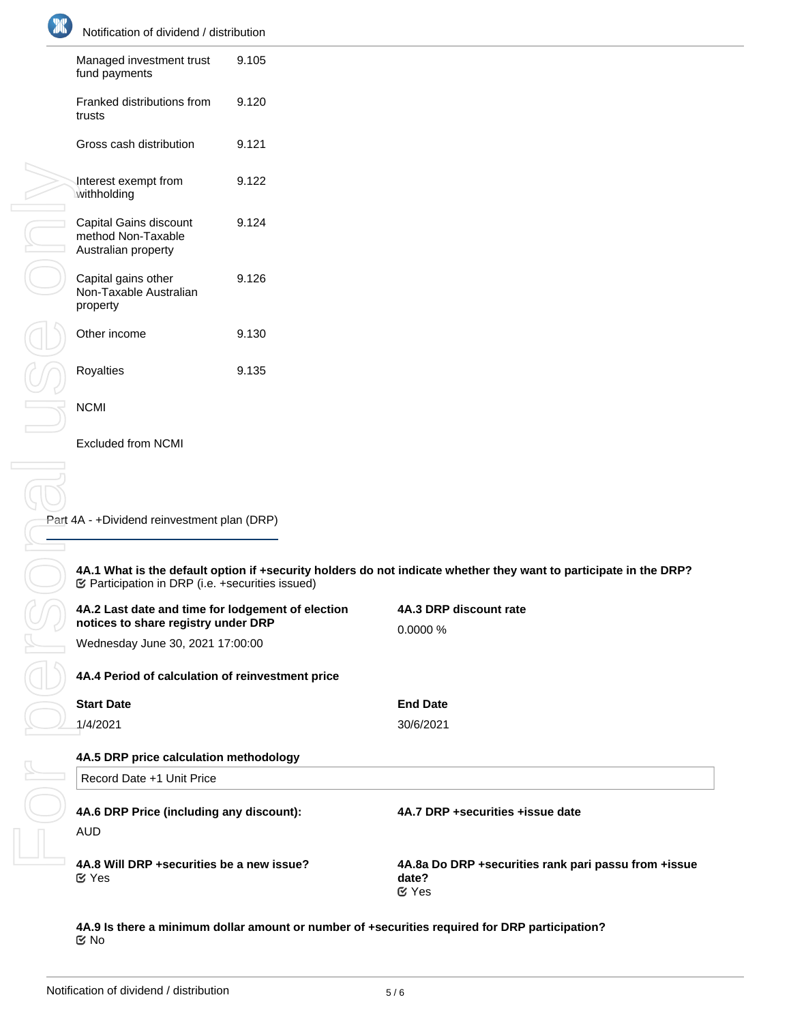| Managed investment trust<br>fund payments                           | 9.105 |
|---------------------------------------------------------------------|-------|
| Franked distributions from<br>trusts                                | 9.120 |
| Gross cash distribution                                             | 9.121 |
| Interest exempt from<br>withholding                                 | 9.122 |
| Capital Gains discount<br>method Non-Taxable<br>Australian property | 9.124 |
| Capital gains other<br>Non-Taxable Australian<br>property           | 9.126 |
| Other income                                                        | 9.130 |
| Royalties                                                           | 9.135 |
| NCMI                                                                |       |

Excluded from NCMI

Part 4A - +Dividend reinvestment plan (DRP)

**4A.1 What is the default option if +security holders do not indicate whether they want to participate in the DRP?** Participation in DRP (i.e. +securities issued)

| 4A.2 Last date and time for lodgement of election<br>notices to share registry under DRP<br>Wednesday June 30, 2021 17:00:00 | 4A.3 DRP discount rate<br>0.0000%                                               |  |  |  |
|------------------------------------------------------------------------------------------------------------------------------|---------------------------------------------------------------------------------|--|--|--|
| 4A.4 Period of calculation of reinvestment price                                                                             |                                                                                 |  |  |  |
| <b>Start Date</b>                                                                                                            | <b>End Date</b>                                                                 |  |  |  |
| 1/4/2021                                                                                                                     | 30/6/2021                                                                       |  |  |  |
| 4A.5 DRP price calculation methodology<br>Record Date +1 Unit Price                                                          |                                                                                 |  |  |  |
| 4A.6 DRP Price (including any discount):<br><b>AUD</b>                                                                       | 4A.7 DRP +securities +issue date                                                |  |  |  |
| 4A.8 Will DRP +securities be a new issue?<br>$\mathfrak{C}$ Yes                                                              | 4A.8a Do DRP + securities rank pari passu from + issue<br>date?<br>$\alpha$ Yes |  |  |  |

**4A.9 Is there a minimum dollar amount or number of +securities required for DRP participation?** No